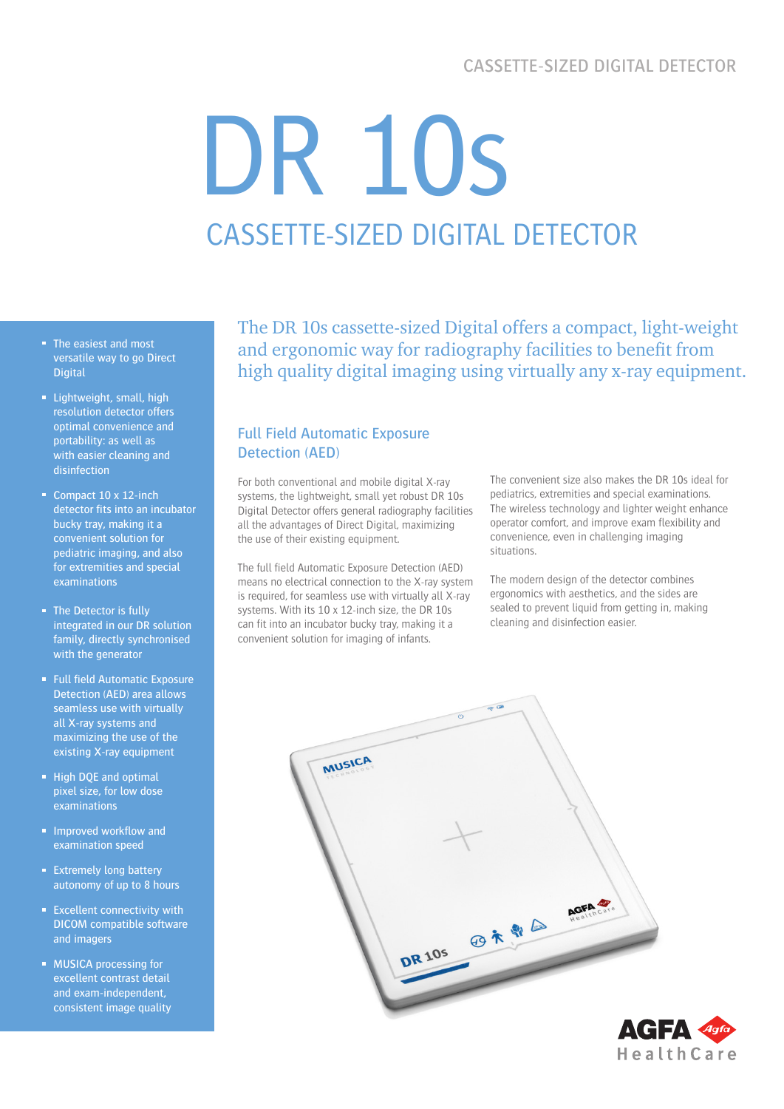# CASSETTE-SIZED DIGITAL DETECTOR

# DR 10s CASSETTE-SIZED DIGITAL DETECTOR

- The easiest and most versatile way to go Direct **Digital**
- **Lightweight, small, high** resolution detector offers optimal convenience and portability: as well as with easier cleaning and disinfection
- Compact 10 x 12-inch detector fits into an incubator bucky tray, making it a convenient solution for pediatric imaging, and also for extremities and special examinations
- The Detector is fully integrated in our DR solution family, directly synchronised with the generator
- **Full field Automatic Exposure** Detection (AED) area allows seamless use with virtually all X-ray systems and maximizing the use of the existing X-ray equipment
- **High DQE and optimal** pixel size, for low dose examinations
- **Improved workflow and** examination speed
- **Extremely long battery** autonomy of up to 8 hours
- **Excellent connectivity with** DICOM compatible software and imagers
- **MUSICA processing for** excellent contrast detail and exam-independent, consistent image quality

The DR 10s cassette-sized Digital offers a compact, light-weight and ergonomic way for radiography facilities to benefit from high quality digital imaging using virtually any x-ray equipment.

# Full Field Automatic Exposure Detection (AED)

For both conventional and mobile digital X-ray systems, the lightweight, small yet robust DR 10s Digital Detector offers general radiography facilities all the advantages of Direct Digital, maximizing the use of their existing equipment.

The full field Automatic Exposure Detection (AED) means no electrical connection to the X-ray system is required, for seamless use with virtually all X-ray systems. With its 10 x 12-inch size, the DR 10s can fit into an incubator bucky tray, making it a convenient solution for imaging of infants.

The convenient size also makes the DR 10s ideal for pediatrics, extremities and special examinations. The wireless technology and lighter weight enhance operator comfort, and improve exam flexibility and convenience, even in challenging imaging situations.

The modern design of the detector combines ergonomics with aesthetics, and the sides are sealed to prevent liquid from getting in, making cleaning and disinfection easier.



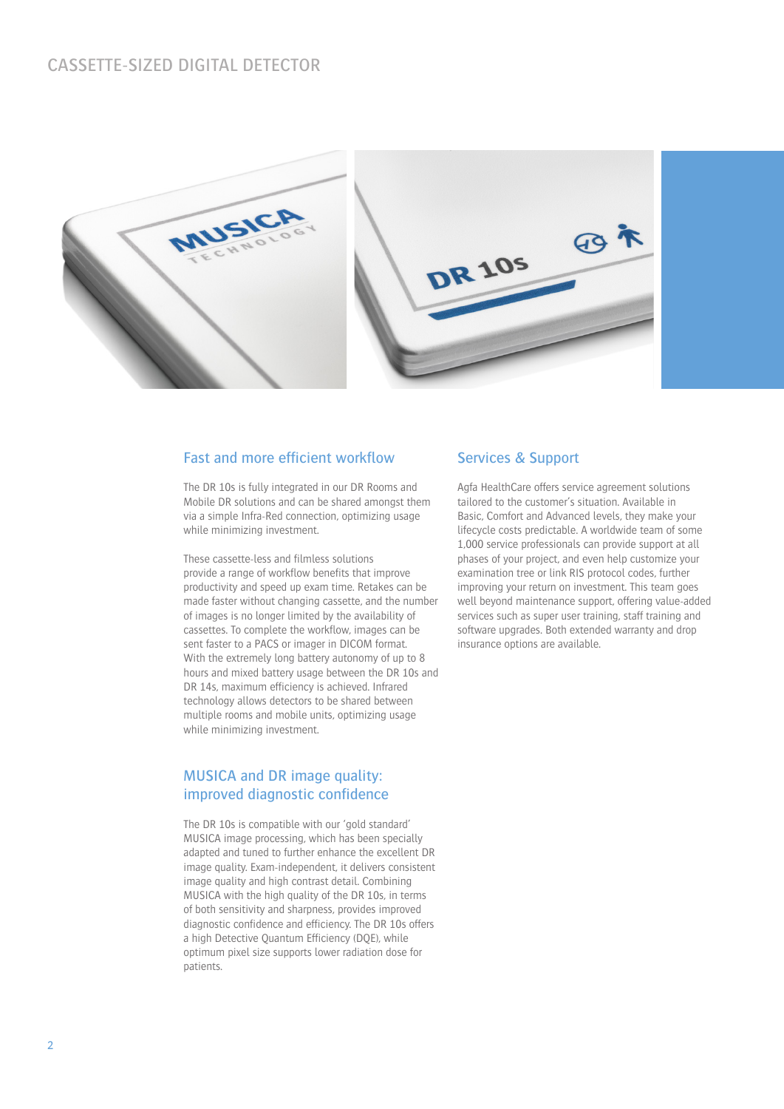

## Fast and more efficient workflow

The DR 10s is fully integrated in our DR Rooms and Mobile DR solutions and can be shared amongst them via a simple Infra-Red connection, optimizing usage while minimizing investment.

These cassette-less and filmless solutions provide a range of workflow benefits that improve productivity and speed up exam time. Retakes can be made faster without changing cassette, and the number of images is no longer limited by the availability of cassettes. To complete the workflow, images can be sent faster to a PACS or imager in DICOM format. With the extremely long battery autonomy of up to 8 hours and mixed battery usage between the DR 10s and DR 14s, maximum efficiency is achieved. Infrared technology allows detectors to be shared between multiple rooms and mobile units, optimizing usage while minimizing investment.

# MUSICA and DR image quality: improved diagnostic confidence

The DR 10s is compatible with our 'gold standard' MUSICA image processing, which has been specially adapted and tuned to further enhance the excellent DR image quality. Exam-independent, it delivers consistent image quality and high contrast detail. Combining MUSICA with the high quality of the DR 10s, in terms of both sensitivity and sharpness, provides improved diagnostic confidence and efficiency. The DR 10s offers a high Detective Quantum Efficiency (DQE), while optimum pixel size supports lower radiation dose for patients.

#### Services & Support

Agfa HealthCare offers service agreement solutions tailored to the customer's situation. Available in Basic, Comfort and Advanced levels, they make your lifecycle costs predictable. A worldwide team of some 1,000 service professionals can provide support at all phases of your project, and even help customize your examination tree or link RIS protocol codes, further improving your return on investment. This team goes well beyond maintenance support, offering value-added services such as super user training, staff training and software upgrades. Both extended warranty and drop insurance options are available.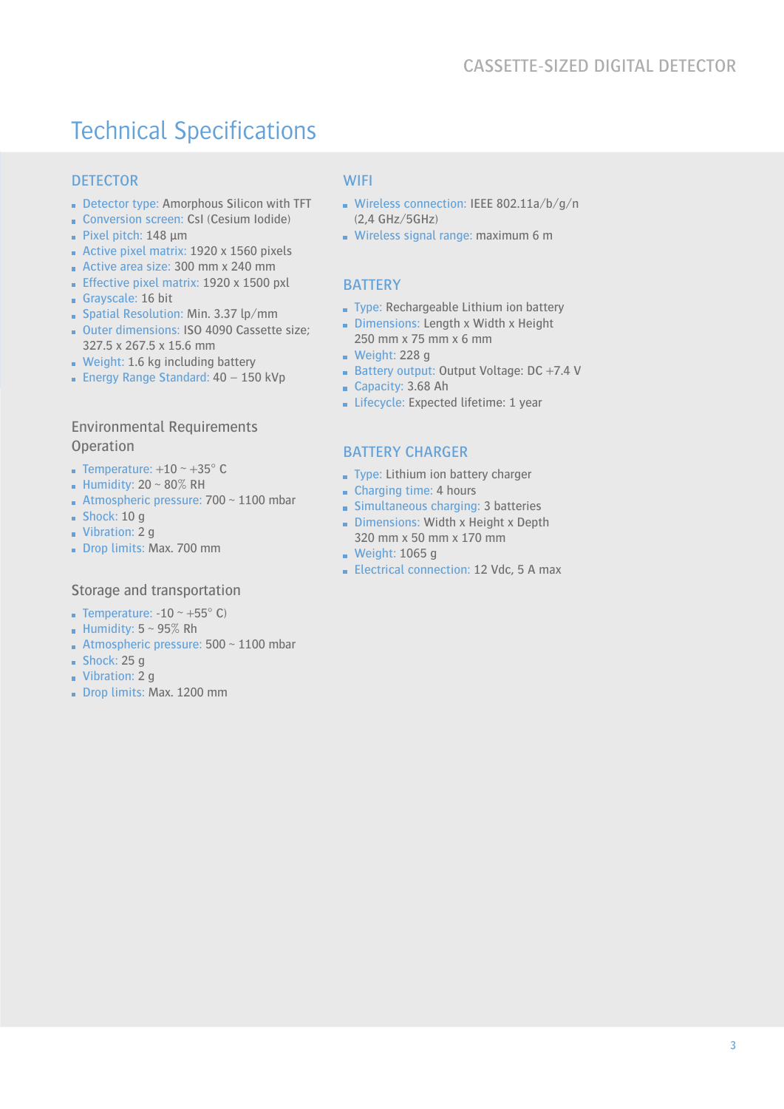# Technical Specifications

# **DETECTOR**

- Detector type: Amorphous Silicon with TFT
- Conversion screen: CsI (Cesium Iodide) Pixel pitch:  $148 \mu m$
- Active pixel matrix:  $1920 \times 1560$  pixels
- Active area size: 300 mm x 240 mm
- **Effective pixel matrix: 1920 x 1500 pxl**
- Grayscale: 16 bit
- **Spatial Resolution: Min. 3.37 lp/mm**
- Outer dimensions: ISO 4090 Cassette size; 327.5 x 267.5 x 15.6 mm
- Weight: 1.6 kg including battery
- **Energy Range Standard: 40 150 kVp**

# Environmental Requirements **Operation**

- **Temperature:**  $+10 \sim +35^{\circ}$  C
- **Humidity: 20 ~ 80% RH**
- Atmospheric pressure:  $700 \sim 1100$  mbar
- $Shock: 10 q$
- Vibration: 2 g
- Drop limits: Max. 700 mm

#### Storage and transportation

- **Temperature: -10** ~ +55 $^{\circ}$  C)
- Humidity:  $5 \sim 95\%$  Rh
- Atmospheric pressure:  $500 \sim 1100$  mbar
- $Shock: 25 q$
- Vibration: 2 g
- Drop limits: Max. 1200 mm

### **WIFI**

- Wireless connection: IEEE 802.11a/b/g/n (2,4 GHz/5GHz)
- Wireless signal range: maximum 6 m

#### **BATTERY**

- Type: Rechargeable Lithium ion battery
- Dimensions: Length x Width x Height 250 mm x 75 mm x 6 mm
- $\blacksquare$  Weight: 228 g
- Battery output: Output Voltage: DC +7.4 V
- Capacity: 3.68 Ah
- Lifecycle: Expected lifetime: 1 year

#### BATTERY CHARGER

- Type: Lithium ion battery charger
- Charging time: 4 hours
- Simultaneous charging: 3 batteries
- Dimensions: Width x Height x Depth 320 mm x 50 mm x 170 mm
- **Weight: 1065 g**
- Electrical connection: 12 Vdc, 5 A max